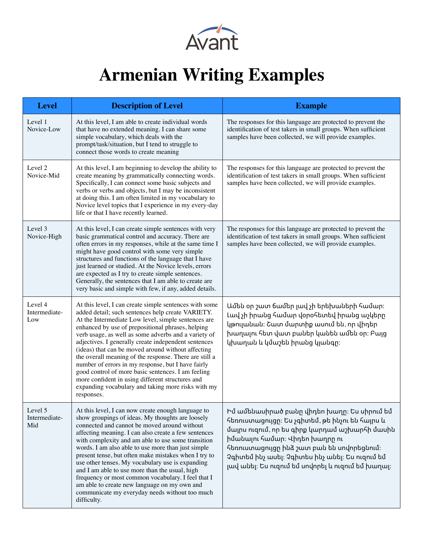

## **Armenian Writing Examples**

| <b>Level</b>                    | <b>Description of Level</b>                                                                                                                                                                                                                                                                                                                                                                                                                                                                                                                                                                                                                                                                 | <b>Example</b>                                                                                                                                                                                                                                                                                                                        |
|---------------------------------|---------------------------------------------------------------------------------------------------------------------------------------------------------------------------------------------------------------------------------------------------------------------------------------------------------------------------------------------------------------------------------------------------------------------------------------------------------------------------------------------------------------------------------------------------------------------------------------------------------------------------------------------------------------------------------------------|---------------------------------------------------------------------------------------------------------------------------------------------------------------------------------------------------------------------------------------------------------------------------------------------------------------------------------------|
| Level 1<br>Novice-Low           | At this level, I am able to create individual words<br>that have no extended meaning. I can share some<br>simple vocabulary, which deals with the<br>prompt/task/situation, but I tend to struggle to<br>connect those words to create meaning                                                                                                                                                                                                                                                                                                                                                                                                                                              | The responses for this language are protected to prevent the<br>identification of test takers in small groups. When sufficient<br>samples have been collected, we will provide examples.                                                                                                                                              |
| Level 2<br>Novice-Mid           | At this level, I am beginning to develop the ability to<br>create meaning by grammatically connecting words.<br>Specifically, I can connect some basic subjects and<br>verbs or verbs and objects, but I may be inconsistent<br>at doing this. I am often limited in my vocabulary to<br>Novice level topics that I experience in my every-day<br>life or that I have recently learned.                                                                                                                                                                                                                                                                                                     | The responses for this language are protected to prevent the<br>identification of test takers in small groups. When sufficient<br>samples have been collected, we will provide examples.                                                                                                                                              |
| Level 3<br>Novice-High          | At this level, I can create simple sentences with very<br>basic grammatical control and accuracy. There are<br>often errors in my responses, while at the same time I<br>might have good control with some very simple<br>structures and functions of the language that I have<br>just learned or studied. At the Novice levels, errors<br>are expected as I try to create simple sentences.<br>Generally, the sentences that I am able to create are<br>very basic and simple with few, if any, added details.                                                                                                                                                                             | The responses for this language are protected to prevent the<br>identification of test takers in small groups. When sufficient<br>samples have been collected, we will provide examples.                                                                                                                                              |
| Level 4<br>Intermediate-<br>Low | At this level, I can create simple sentences with some<br>added detail; such sentences help create VARIETY.<br>At the Intermediate Low level, simple sentences are<br>enhanced by use of prepositional phrases, helping<br>verb usage, as well as some adverbs and a variety of<br>adjectives. I generally create independent sentences<br>(ideas) that can be moved around without affecting<br>the overall meaning of the response. There are still a<br>number of errors in my response, but I have fairly<br>good control of more basic sentences. I am feeling<br>more confident in using different structures and<br>expanding vocabulary and taking more risks with my<br>responses. | Ամեն օր շատ ճամեր լավ չի երեխաների համար։<br>Լավ չի իրանց համար վօրօհետեվ իրանց աչկերը<br>կթուլանան։ Շատ մարտիք ասում են, որ վիդեր<br>խաղալու հետ վատ բաներ կանեն ամեն օր։ Բայց<br>կխաղան և կմաշեն իրանց կյանգը։                                                                                                                      |
| Level 5<br>Intermediate-<br>Mid | At this level, I can now create enough language to<br>show groupings of ideas. My thoughts are loosely<br>connected and cannot be moved around without<br>affecting meaning. I can also create a few sentences<br>with complexity and am able to use some transition<br>words. I am also able to use more than just simple<br>present tense, but often make mistakes when I try to<br>use other tenses. My vocabulary use is expanding<br>and I am able to use more than the usual, high<br>frequency or most common vocabulary. I feel that I<br>am able to create new language on my own and<br>communicate my everyday needs without too much<br>difficulty.                             | Իմ ամենասիրած բանը վիդեո խաղը։ Ես սիրում եմ<br>հեռուստացույցը։ Ես չգիտեմ, թե ինչու են հայրս և<br>մայրս ուզում, որ ես գիրք կարդամ աշխարհի մասին<br>իմանալու համար։ Վիդեո խաղրը ու<br>հեռուստացույցը ինձ շատ բան են սովորեցնում։<br>Չգիտեմ ինչ ասել։ Չգիտես ինչ անել։ Ես ուզում եմ<br>լավ անել։ Ես ուզում եմ սովորել և ուզում եմ խաղալ։ |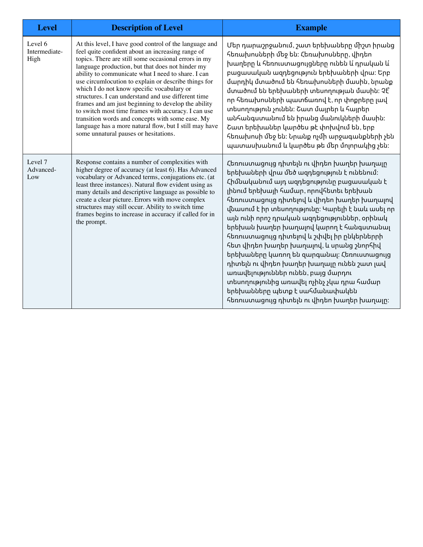| <b>Level</b>                     | <b>Description of Level</b>                                                                                                                                                                                                                                                                                                                                                                                                                                                                                                                                                                                                                                                                                     | <b>Example</b>                                                                                                                                                                                                                                                                                                                                                                                                                                                                                                                                                                                                                                                                                                                            |
|----------------------------------|-----------------------------------------------------------------------------------------------------------------------------------------------------------------------------------------------------------------------------------------------------------------------------------------------------------------------------------------------------------------------------------------------------------------------------------------------------------------------------------------------------------------------------------------------------------------------------------------------------------------------------------------------------------------------------------------------------------------|-------------------------------------------------------------------------------------------------------------------------------------------------------------------------------------------------------------------------------------------------------------------------------------------------------------------------------------------------------------------------------------------------------------------------------------------------------------------------------------------------------------------------------------------------------------------------------------------------------------------------------------------------------------------------------------------------------------------------------------------|
| Level 6<br>Intermediate-<br>High | At this level, I have good control of the language and<br>feel quite confident about an increasing range of<br>topics. There are still some occasional errors in my<br>language production, but that does not hinder my<br>ability to communicate what I need to share. I can<br>use circumlocution to explain or describe things for<br>which I do not know specific vocabulary or<br>structures. I can understand and use different time<br>frames and am just beginning to develop the ability<br>to switch most time frames with accuracy. I can use<br>transition words and concepts with some ease. My<br>language has a more natural flow, but I still may have<br>some unnatural pauses or hesitations. | Մեր դարաշրջանում, շատ երեխաները միշտ իրանց<br>հեռախոսների մեջ են։ Հեռախոսները, վիդեո<br>խաղերը և հեռուստացույցները ունեն և՛ դրական և՛<br>բացասական ազդեցություն երեխաների վրա։ Երբ<br>մարդիկ մտածում են հեռախոսների մասին, նրանք<br>մտածում են երեխաների տեսողության մասին։ Չէ՞<br>որ հեռախոսների պատճառով է, որ փոքրերը լավ<br>տեսողություն չունեն։ Շատ մայրեր և հայրեր<br>անհանգստանում են իրանց մանուկների մասին։<br>Շատ երեխաներ կարծես թէ փոխվում են, երբ<br>հեռախոսի մեջ են։ Նրանք ոչմի արջագանքների չեն<br>պատասխանում և կարծես թե մեր մոլորակից չեն։                                                                                                                                                                              |
| Level 7<br>Advanced-<br>Low      | Response contains a number of complexities with<br>higher degree of accuracy (at least 6). Has Advanced<br>vocabulary or Advanced terms, conjugations etc. (at<br>least three instances). Natural flow evident using as<br>many details and descriptive language as possible to<br>create a clear picture. Errors with move complex<br>structures may still occur. Ability to switch time<br>frames begins to increase in accuracy if called for in<br>the prompt.                                                                                                                                                                                                                                              | Հեռուստացույց դիտելն ու վիդեո խաղեր խաղալը<br>երեխաների վրա մեծ ազդեցություն է ունենում։<br>Հիմնականում այդ ազդեցությունը բացասական է<br>լինում երեխայի համար, որովհետեւ երեխան<br>հեռուստացույց դիտելով և վիդեո խաղեր խաղալով<br>վնասում է իր տեսողությունը։ Կարելի է նաև ասել որ<br>այն ունի որոշ դրական ազդեցություններ, օրինակ<br>երեխան խաղեր խաղալով կարող է հանգստանալ<br>հեռուստացույց դիտելով և շփվել իր ընկերներրի<br>հետ վիդեո խաղեր խաղալով, և սրանց շնորհիվ<br>երեխաները կառող են զարգանալ։ Հեռուստացույց<br>դիտելն ու վիդեո խաղեր խաղալը ունեն շատ լավ<br>առավելություններ ունեն, բայց մարդու<br>տեսողությունից առավել ոչինչ չկա դրա համար<br>երեխանները պետք է սահմանափակեն<br>հեռուստացույց դիտելն ու վիդեո խաղեր խաղալը։ |